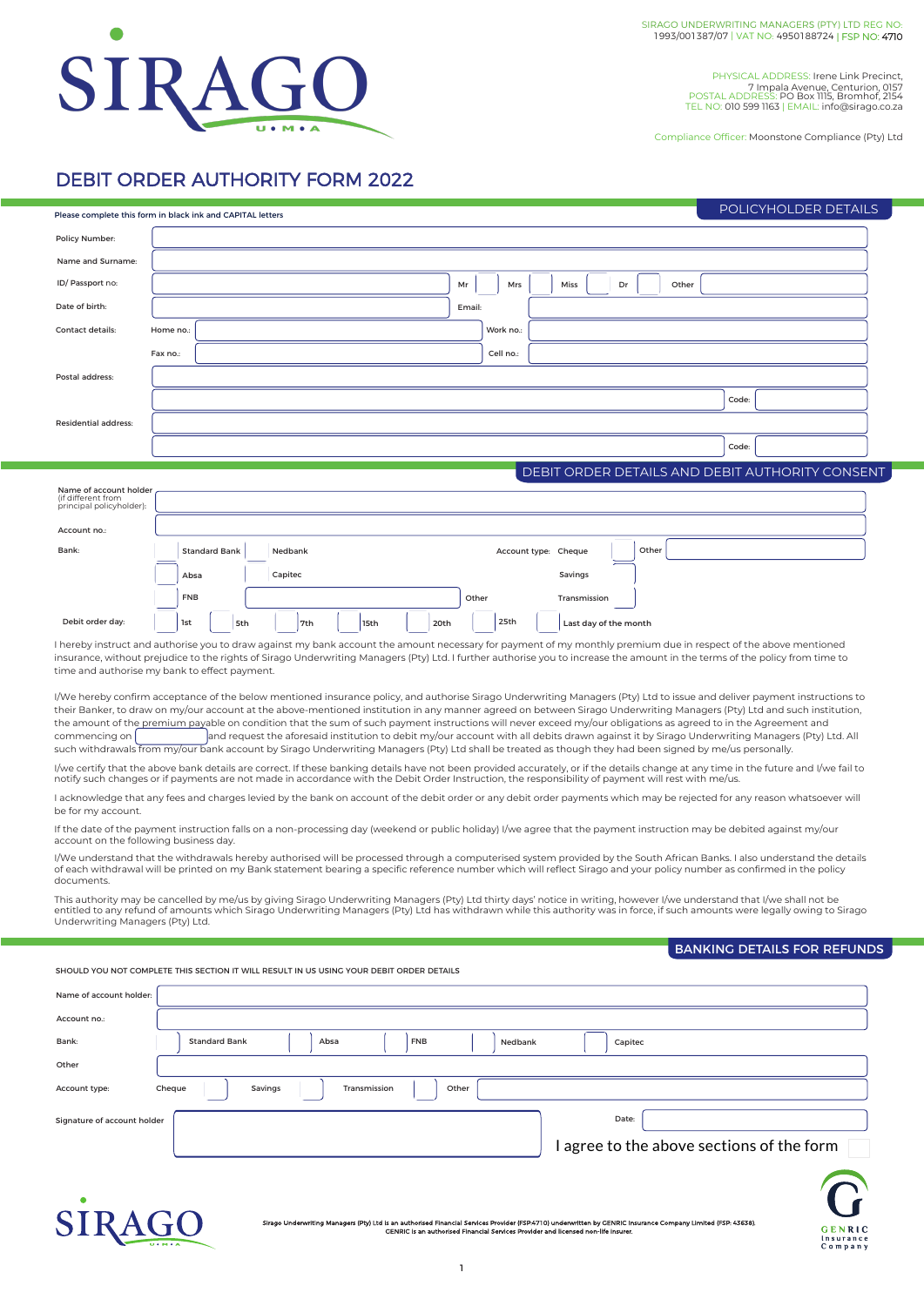

PHYSICAL ADDRESS: Irene Link Precinct, 7 Impala Avenue, Centurion, 0157 POSTAL ADDRESS: PO Box 1115, Bromhof, 2154 TEL NO: 010 599 1163 | EMAIL: info@sirago.co.za

Compliance Officer: Moonstone Compliance (Pty) Ltd

## DEBIT ORDER AUTHORITY FORM 2022

|                                                                                                                                                                                                                                                                                                                                                                                                                                                                                                                                                                                                                                                                                                                                                                                                                                                                                                                                                                                                                                                                                                                                                                                                                                                                                                                                                                                                                                                                                                                                                                                                                                                                                                                                                                                                                                                                                                                                                                                                    | Please complete this form in black ink and CAPITAL letters |            |                      |         |                    |                                                                                                                                                               |            |       |                      |                                                                                    |  |       |                                           |       | POLICYHOLDER DETAILS |       |       |  |                                                 |  |
|----------------------------------------------------------------------------------------------------------------------------------------------------------------------------------------------------------------------------------------------------------------------------------------------------------------------------------------------------------------------------------------------------------------------------------------------------------------------------------------------------------------------------------------------------------------------------------------------------------------------------------------------------------------------------------------------------------------------------------------------------------------------------------------------------------------------------------------------------------------------------------------------------------------------------------------------------------------------------------------------------------------------------------------------------------------------------------------------------------------------------------------------------------------------------------------------------------------------------------------------------------------------------------------------------------------------------------------------------------------------------------------------------------------------------------------------------------------------------------------------------------------------------------------------------------------------------------------------------------------------------------------------------------------------------------------------------------------------------------------------------------------------------------------------------------------------------------------------------------------------------------------------------------------------------------------------------------------------------------------------------|------------------------------------------------------------|------------|----------------------|---------|--------------------|---------------------------------------------------------------------------------------------------------------------------------------------------------------|------------|-------|----------------------|------------------------------------------------------------------------------------|--|-------|-------------------------------------------|-------|----------------------|-------|-------|--|-------------------------------------------------|--|
| Policy Number:                                                                                                                                                                                                                                                                                                                                                                                                                                                                                                                                                                                                                                                                                                                                                                                                                                                                                                                                                                                                                                                                                                                                                                                                                                                                                                                                                                                                                                                                                                                                                                                                                                                                                                                                                                                                                                                                                                                                                                                     |                                                            |            |                      |         |                    |                                                                                                                                                               |            |       |                      |                                                                                    |  |       |                                           |       |                      |       |       |  |                                                 |  |
| Name and Surname:                                                                                                                                                                                                                                                                                                                                                                                                                                                                                                                                                                                                                                                                                                                                                                                                                                                                                                                                                                                                                                                                                                                                                                                                                                                                                                                                                                                                                                                                                                                                                                                                                                                                                                                                                                                                                                                                                                                                                                                  |                                                            |            |                      |         |                    |                                                                                                                                                               |            |       |                      |                                                                                    |  |       |                                           |       |                      |       |       |  |                                                 |  |
| ID/Passport no:                                                                                                                                                                                                                                                                                                                                                                                                                                                                                                                                                                                                                                                                                                                                                                                                                                                                                                                                                                                                                                                                                                                                                                                                                                                                                                                                                                                                                                                                                                                                                                                                                                                                                                                                                                                                                                                                                                                                                                                    |                                                            |            |                      |         |                    |                                                                                                                                                               |            |       | Mr                   | Mrs                                                                                |  | Miss  |                                           | Dr    |                      | Other |       |  |                                                 |  |
| Date of birth:                                                                                                                                                                                                                                                                                                                                                                                                                                                                                                                                                                                                                                                                                                                                                                                                                                                                                                                                                                                                                                                                                                                                                                                                                                                                                                                                                                                                                                                                                                                                                                                                                                                                                                                                                                                                                                                                                                                                                                                     |                                                            |            |                      |         |                    |                                                                                                                                                               |            |       | Email:               |                                                                                    |  |       |                                           |       |                      |       |       |  |                                                 |  |
| Contact details:                                                                                                                                                                                                                                                                                                                                                                                                                                                                                                                                                                                                                                                                                                                                                                                                                                                                                                                                                                                                                                                                                                                                                                                                                                                                                                                                                                                                                                                                                                                                                                                                                                                                                                                                                                                                                                                                                                                                                                                   | Home no.:                                                  |            |                      |         |                    |                                                                                                                                                               |            |       |                      | Work no.:                                                                          |  |       |                                           |       |                      |       |       |  |                                                 |  |
|                                                                                                                                                                                                                                                                                                                                                                                                                                                                                                                                                                                                                                                                                                                                                                                                                                                                                                                                                                                                                                                                                                                                                                                                                                                                                                                                                                                                                                                                                                                                                                                                                                                                                                                                                                                                                                                                                                                                                                                                    | Fax no.:                                                   |            |                      |         |                    |                                                                                                                                                               |            |       |                      | Cell no.:                                                                          |  |       |                                           |       |                      |       |       |  |                                                 |  |
| Postal address:                                                                                                                                                                                                                                                                                                                                                                                                                                                                                                                                                                                                                                                                                                                                                                                                                                                                                                                                                                                                                                                                                                                                                                                                                                                                                                                                                                                                                                                                                                                                                                                                                                                                                                                                                                                                                                                                                                                                                                                    |                                                            |            |                      |         |                    |                                                                                                                                                               |            |       |                      |                                                                                    |  |       |                                           |       |                      |       |       |  |                                                 |  |
|                                                                                                                                                                                                                                                                                                                                                                                                                                                                                                                                                                                                                                                                                                                                                                                                                                                                                                                                                                                                                                                                                                                                                                                                                                                                                                                                                                                                                                                                                                                                                                                                                                                                                                                                                                                                                                                                                                                                                                                                    |                                                            |            |                      |         |                    |                                                                                                                                                               |            |       |                      |                                                                                    |  |       |                                           |       |                      |       | Code: |  |                                                 |  |
| <b>Residential address:</b>                                                                                                                                                                                                                                                                                                                                                                                                                                                                                                                                                                                                                                                                                                                                                                                                                                                                                                                                                                                                                                                                                                                                                                                                                                                                                                                                                                                                                                                                                                                                                                                                                                                                                                                                                                                                                                                                                                                                                                        |                                                            |            |                      |         |                    |                                                                                                                                                               |            |       |                      |                                                                                    |  |       |                                           |       |                      |       |       |  |                                                 |  |
|                                                                                                                                                                                                                                                                                                                                                                                                                                                                                                                                                                                                                                                                                                                                                                                                                                                                                                                                                                                                                                                                                                                                                                                                                                                                                                                                                                                                                                                                                                                                                                                                                                                                                                                                                                                                                                                                                                                                                                                                    | Code:                                                      |            |                      |         |                    |                                                                                                                                                               |            |       |                      |                                                                                    |  |       |                                           |       |                      |       |       |  |                                                 |  |
|                                                                                                                                                                                                                                                                                                                                                                                                                                                                                                                                                                                                                                                                                                                                                                                                                                                                                                                                                                                                                                                                                                                                                                                                                                                                                                                                                                                                                                                                                                                                                                                                                                                                                                                                                                                                                                                                                                                                                                                                    |                                                            |            |                      |         |                    |                                                                                                                                                               |            |       |                      |                                                                                    |  |       |                                           |       |                      |       |       |  | DEBIT ORDER DETAILS AND DEBIT AUTHORITY CONSENT |  |
| Name of account holder<br>(if different from                                                                                                                                                                                                                                                                                                                                                                                                                                                                                                                                                                                                                                                                                                                                                                                                                                                                                                                                                                                                                                                                                                                                                                                                                                                                                                                                                                                                                                                                                                                                                                                                                                                                                                                                                                                                                                                                                                                                                       |                                                            |            |                      |         |                    |                                                                                                                                                               |            |       |                      |                                                                                    |  |       |                                           |       |                      |       |       |  |                                                 |  |
| principal policyholder):                                                                                                                                                                                                                                                                                                                                                                                                                                                                                                                                                                                                                                                                                                                                                                                                                                                                                                                                                                                                                                                                                                                                                                                                                                                                                                                                                                                                                                                                                                                                                                                                                                                                                                                                                                                                                                                                                                                                                                           |                                                            |            |                      |         |                    |                                                                                                                                                               |            |       |                      |                                                                                    |  |       |                                           |       |                      |       |       |  |                                                 |  |
| Account no.:                                                                                                                                                                                                                                                                                                                                                                                                                                                                                                                                                                                                                                                                                                                                                                                                                                                                                                                                                                                                                                                                                                                                                                                                                                                                                                                                                                                                                                                                                                                                                                                                                                                                                                                                                                                                                                                                                                                                                                                       |                                                            |            |                      |         |                    |                                                                                                                                                               |            |       |                      |                                                                                    |  |       |                                           |       |                      |       |       |  |                                                 |  |
| Bank:                                                                                                                                                                                                                                                                                                                                                                                                                                                                                                                                                                                                                                                                                                                                                                                                                                                                                                                                                                                                                                                                                                                                                                                                                                                                                                                                                                                                                                                                                                                                                                                                                                                                                                                                                                                                                                                                                                                                                                                              |                                                            |            | <b>Standard Bank</b> |         | Nedbank<br>Capitec |                                                                                                                                                               |            |       | Account type: Cheque |                                                                                    |  | Other |                                           |       |                      |       |       |  |                                                 |  |
|                                                                                                                                                                                                                                                                                                                                                                                                                                                                                                                                                                                                                                                                                                                                                                                                                                                                                                                                                                                                                                                                                                                                                                                                                                                                                                                                                                                                                                                                                                                                                                                                                                                                                                                                                                                                                                                                                                                                                                                                    |                                                            | Absa       |                      |         |                    |                                                                                                                                                               | Savings    |       |                      |                                                                                    |  |       |                                           |       |                      |       |       |  |                                                 |  |
|                                                                                                                                                                                                                                                                                                                                                                                                                                                                                                                                                                                                                                                                                                                                                                                                                                                                                                                                                                                                                                                                                                                                                                                                                                                                                                                                                                                                                                                                                                                                                                                                                                                                                                                                                                                                                                                                                                                                                                                                    |                                                            | <b>FNB</b> |                      |         |                    |                                                                                                                                                               |            |       | Other                |                                                                                    |  |       | Transmission                              |       |                      |       |       |  |                                                 |  |
| Debit order day:                                                                                                                                                                                                                                                                                                                                                                                                                                                                                                                                                                                                                                                                                                                                                                                                                                                                                                                                                                                                                                                                                                                                                                                                                                                                                                                                                                                                                                                                                                                                                                                                                                                                                                                                                                                                                                                                                                                                                                                   |                                                            | 1st        | 5th                  |         | 7th                | 15th                                                                                                                                                          |            | 20th  |                      | 25th                                                                               |  |       | Last day of the month                     |       |                      |       |       |  |                                                 |  |
| I hereby instruct and authorise you to draw against my bank account the amount necessary for payment of my monthly premium due in respect of the above mentioned<br>insurance, without prejudice to the rights of Sirago Underwriting Managers (Pty) Ltd. I further authorise you to increase the amount in the terms of the policy from time to<br>time and authorise my bank to effect payment.                                                                                                                                                                                                                                                                                                                                                                                                                                                                                                                                                                                                                                                                                                                                                                                                                                                                                                                                                                                                                                                                                                                                                                                                                                                                                                                                                                                                                                                                                                                                                                                                  |                                                            |            |                      |         |                    |                                                                                                                                                               |            |       |                      |                                                                                    |  |       |                                           |       |                      |       |       |  |                                                 |  |
| I/We hereby confirm acceptance of the below mentioned insurance policy, and authorise Sirago Underwriting Managers (Pty) Ltd to issue and deliver payment instructions to<br>their Banker, to draw on my/our account at the above-mentioned institution in any manner agreed on between Sirago Underwriting Managers (Pty) Ltd and such institution,<br>the amount of the premium payable on condition that the sum of such payment instructions will never exceed my/our obligations as agreed to in the Agreement and<br>and request the aforesaid institution to debit my/our account with all debits drawn against it by Sirago Underwriting Managers (Pty) Ltd. All<br>commencing on<br>such withdrawals from my/our bank account by Sirago Underwriting Managers (Pty) Ltd shall be treated as though they had been signed by me/us personally.<br>I/we certify that the above bank details are correct. If these banking details have not been provided accurately, or if the details change at any time in the future and I/we fail to<br>notify such changes or if payments are not made in accordance with the Debit Order Instruction, the responsibility of payment will rest with me/us.<br>I acknowledge that any fees and charges levied by the bank on account of the debit order or any debit order payments which may be rejected for any reason whatsoever will<br>be for my account.<br>If the date of the payment instruction falls on a non-processing day (weekend or public holiday) I/we agree that the payment instruction may be debited against my/our<br>account on the following business day.<br>I/We understand that the withdrawals hereby authorised will be processed through a computerised system provided by the South African Banks. I also understand the details<br>of each withdrawal will be printed on my Bank statement bearing a specific reference number which will reflect Sirago and your policy number as confirmed in the policy<br>documents. |                                                            |            |                      |         |                    |                                                                                                                                                               |            |       |                      |                                                                                    |  |       |                                           |       |                      |       |       |  |                                                 |  |
| This authority may be cancelled by me/us by giving Sirago Underwriting Managers (Pty) Ltd thirty days' notice in writing, however I/we understand that I/we shall not be<br>entitled to any refund of amounts which Sirago Underwriting Managers (Pty) Ltd has withdrawn while this authority was in force, if such amounts were legally owing to Sirago<br>Underwriting Managers (Pty) Ltd.                                                                                                                                                                                                                                                                                                                                                                                                                                                                                                                                                                                                                                                                                                                                                                                                                                                                                                                                                                                                                                                                                                                                                                                                                                                                                                                                                                                                                                                                                                                                                                                                       |                                                            |            |                      |         |                    |                                                                                                                                                               |            |       |                      |                                                                                    |  |       |                                           |       |                      |       |       |  |                                                 |  |
|                                                                                                                                                                                                                                                                                                                                                                                                                                                                                                                                                                                                                                                                                                                                                                                                                                                                                                                                                                                                                                                                                                                                                                                                                                                                                                                                                                                                                                                                                                                                                                                                                                                                                                                                                                                                                                                                                                                                                                                                    |                                                            |            |                      |         |                    |                                                                                                                                                               |            |       |                      |                                                                                    |  |       |                                           |       |                      |       |       |  | <b>BANKING DETAILS FOR REFUNDS</b>              |  |
| SHOULD YOU NOT COMPLETE THIS SECTION IT WILL RESULT IN US USING YOUR DEBIT ORDER DETAILS                                                                                                                                                                                                                                                                                                                                                                                                                                                                                                                                                                                                                                                                                                                                                                                                                                                                                                                                                                                                                                                                                                                                                                                                                                                                                                                                                                                                                                                                                                                                                                                                                                                                                                                                                                                                                                                                                                           |                                                            |            |                      |         |                    |                                                                                                                                                               |            |       |                      |                                                                                    |  |       |                                           |       |                      |       |       |  |                                                 |  |
| Name of account holder:                                                                                                                                                                                                                                                                                                                                                                                                                                                                                                                                                                                                                                                                                                                                                                                                                                                                                                                                                                                                                                                                                                                                                                                                                                                                                                                                                                                                                                                                                                                                                                                                                                                                                                                                                                                                                                                                                                                                                                            |                                                            |            |                      |         |                    |                                                                                                                                                               |            |       |                      |                                                                                    |  |       |                                           |       |                      |       |       |  |                                                 |  |
| Account no.:                                                                                                                                                                                                                                                                                                                                                                                                                                                                                                                                                                                                                                                                                                                                                                                                                                                                                                                                                                                                                                                                                                                                                                                                                                                                                                                                                                                                                                                                                                                                                                                                                                                                                                                                                                                                                                                                                                                                                                                       |                                                            |            |                      |         |                    |                                                                                                                                                               |            |       |                      |                                                                                    |  |       |                                           |       |                      |       |       |  |                                                 |  |
| Bank:                                                                                                                                                                                                                                                                                                                                                                                                                                                                                                                                                                                                                                                                                                                                                                                                                                                                                                                                                                                                                                                                                                                                                                                                                                                                                                                                                                                                                                                                                                                                                                                                                                                                                                                                                                                                                                                                                                                                                                                              |                                                            |            | <b>Standard Bank</b> |         | Absa               |                                                                                                                                                               | <b>FNB</b> |       |                      | Nedbank                                                                            |  |       | Capitec                                   |       |                      |       |       |  |                                                 |  |
| Other                                                                                                                                                                                                                                                                                                                                                                                                                                                                                                                                                                                                                                                                                                                                                                                                                                                                                                                                                                                                                                                                                                                                                                                                                                                                                                                                                                                                                                                                                                                                                                                                                                                                                                                                                                                                                                                                                                                                                                                              |                                                            |            |                      |         |                    |                                                                                                                                                               |            |       |                      |                                                                                    |  |       |                                           |       |                      |       |       |  |                                                 |  |
| Account type:                                                                                                                                                                                                                                                                                                                                                                                                                                                                                                                                                                                                                                                                                                                                                                                                                                                                                                                                                                                                                                                                                                                                                                                                                                                                                                                                                                                                                                                                                                                                                                                                                                                                                                                                                                                                                                                                                                                                                                                      | Cheque                                                     |            |                      | Savings |                    | Transmission                                                                                                                                                  |            | Other |                      |                                                                                    |  |       |                                           |       |                      |       |       |  |                                                 |  |
| Signature of account holder                                                                                                                                                                                                                                                                                                                                                                                                                                                                                                                                                                                                                                                                                                                                                                                                                                                                                                                                                                                                                                                                                                                                                                                                                                                                                                                                                                                                                                                                                                                                                                                                                                                                                                                                                                                                                                                                                                                                                                        |                                                            |            |                      |         |                    |                                                                                                                                                               |            |       |                      |                                                                                    |  |       |                                           | Date: |                      |       |       |  |                                                 |  |
|                                                                                                                                                                                                                                                                                                                                                                                                                                                                                                                                                                                                                                                                                                                                                                                                                                                                                                                                                                                                                                                                                                                                                                                                                                                                                                                                                                                                                                                                                                                                                                                                                                                                                                                                                                                                                                                                                                                                                                                                    |                                                            |            |                      |         |                    |                                                                                                                                                               |            |       |                      |                                                                                    |  |       | I agree to the above sections of the form |       |                      |       |       |  |                                                 |  |
|                                                                                                                                                                                                                                                                                                                                                                                                                                                                                                                                                                                                                                                                                                                                                                                                                                                                                                                                                                                                                                                                                                                                                                                                                                                                                                                                                                                                                                                                                                                                                                                                                                                                                                                                                                                                                                                                                                                                                                                                    |                                                            |            |                      |         |                    |                                                                                                                                                               |            |       |                      |                                                                                    |  |       |                                           |       |                      |       |       |  |                                                 |  |
|                                                                                                                                                                                                                                                                                                                                                                                                                                                                                                                                                                                                                                                                                                                                                                                                                                                                                                                                                                                                                                                                                                                                                                                                                                                                                                                                                                                                                                                                                                                                                                                                                                                                                                                                                                                                                                                                                                                                                                                                    |                                                            |            |                      |         |                    | Sirago Underwriting Managers (Pty) Ltd is an authorised Financial Services Provider (FSP:4710) underwritten by GENRIC Insurance Company Limited (FSP: 43638). |            |       |                      | GENRIC is an authorised Financial Services Provider and licensed non-life insurer. |  |       |                                           |       |                      |       |       |  | GENRIC<br>Insurance<br>Company                  |  |